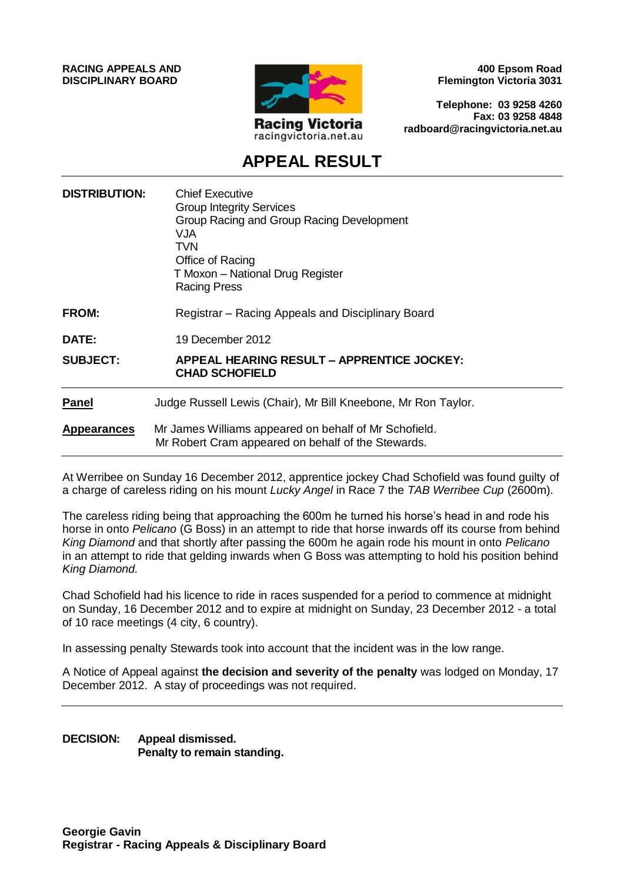**RACING APPEALS AND DISCIPLINARY BOARD**



**400 Epsom Road Flemington Victoria 3031**

**Telephone: 03 9258 4260 Fax: 03 9258 4848 radboard@racingvictoria.net.au**

# **APPEAL RESULT**

| <b>DISTRIBUTION:</b> | <b>Chief Executive</b><br><b>Group Integrity Services</b><br>Group Racing and Group Racing Development<br>VJA.<br>TVN.<br>Office of Racing<br>T Moxon - National Drug Register<br><b>Racing Press</b> |
|----------------------|-------------------------------------------------------------------------------------------------------------------------------------------------------------------------------------------------------|
| <b>FROM:</b>         | Registrar – Racing Appeals and Disciplinary Board                                                                                                                                                     |
| DATE:                | 19 December 2012                                                                                                                                                                                      |
| <b>SUBJECT:</b>      | <b>APPEAL HEARING RESULT - APPRENTICE JOCKEY:</b><br><b>CHAD SCHOFIELD</b>                                                                                                                            |
| <b>Panel</b>         | Judge Russell Lewis (Chair), Mr Bill Kneebone, Mr Ron Taylor.                                                                                                                                         |
| <b>Appearances</b>   | Mr James Williams appeared on behalf of Mr Schofield.<br>Mr Robert Cram appeared on behalf of the Stewards.                                                                                           |

At Werribee on Sunday 16 December 2012, apprentice jockey Chad Schofield was found guilty of a charge of careless riding on his mount *Lucky Angel* in Race 7 the *TAB Werribee Cup* (2600m).

The careless riding being that approaching the 600m he turned his horse's head in and rode his horse in onto *Pelicano* (G Boss) in an attempt to ride that horse inwards off its course from behind *King Diamond* and that shortly after passing the 600m he again rode his mount in onto *Pelicano* in an attempt to ride that gelding inwards when G Boss was attempting to hold his position behind *King Diamond.*

Chad Schofield had his licence to ride in races suspended for a period to commence at midnight on Sunday, 16 December 2012 and to expire at midnight on Sunday, 23 December 2012 - a total of 10 race meetings (4 city, 6 country).

In assessing penalty Stewards took into account that the incident was in the low range.

A Notice of Appeal against **the decision and severity of the penalty** was lodged on Monday, 17 December 2012. A stay of proceedings was not required.

**DECISION: Appeal dismissed. Penalty to remain standing.**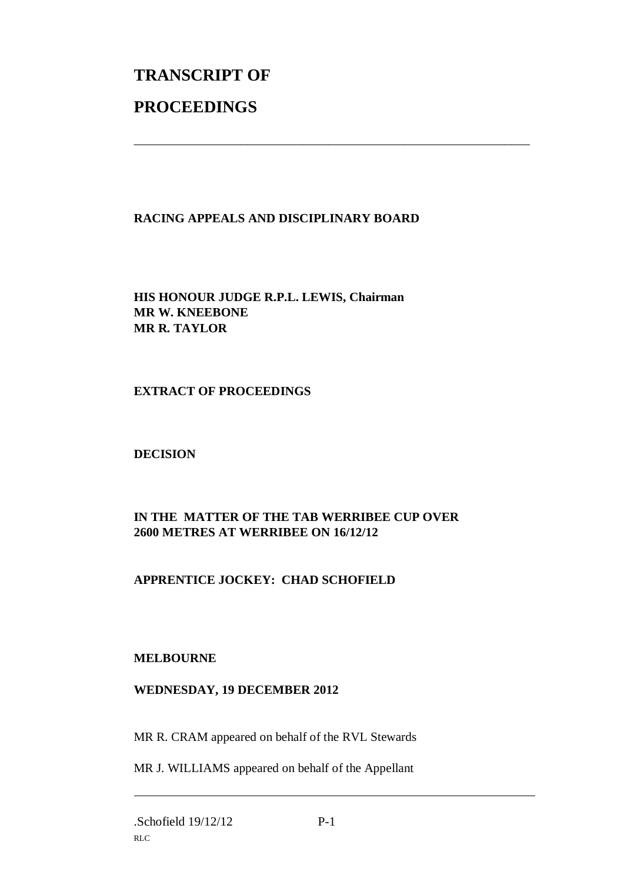# **TRANSCRIPT OF PROCEEDINGS**

#### **RACING APPEALS AND DISCIPLINARY BOARD**

\_\_\_\_\_\_\_\_\_\_\_\_\_\_\_\_\_\_\_\_\_\_\_\_\_\_\_\_\_\_\_\_\_\_\_\_\_\_\_\_\_\_\_\_\_\_\_\_\_\_\_\_\_\_\_\_\_\_\_\_\_\_\_

**HIS HONOUR JUDGE R.P.L. LEWIS, Chairman MR W. KNEEBONE MR R. TAYLOR**

**EXTRACT OF PROCEEDINGS**

**DECISION**

## **IN THE MATTER OF THE TAB WERRIBEE CUP OVER 2600 METRES AT WERRIBEE ON 16/12/12**

## **APPRENTICE JOCKEY: CHAD SCHOFIELD**

#### **MELBOURNE**

#### **WEDNESDAY, 19 DECEMBER 2012**

MR R. CRAM appeared on behalf of the RVL Stewards

MR J. WILLIAMS appeared on behalf of the Appellant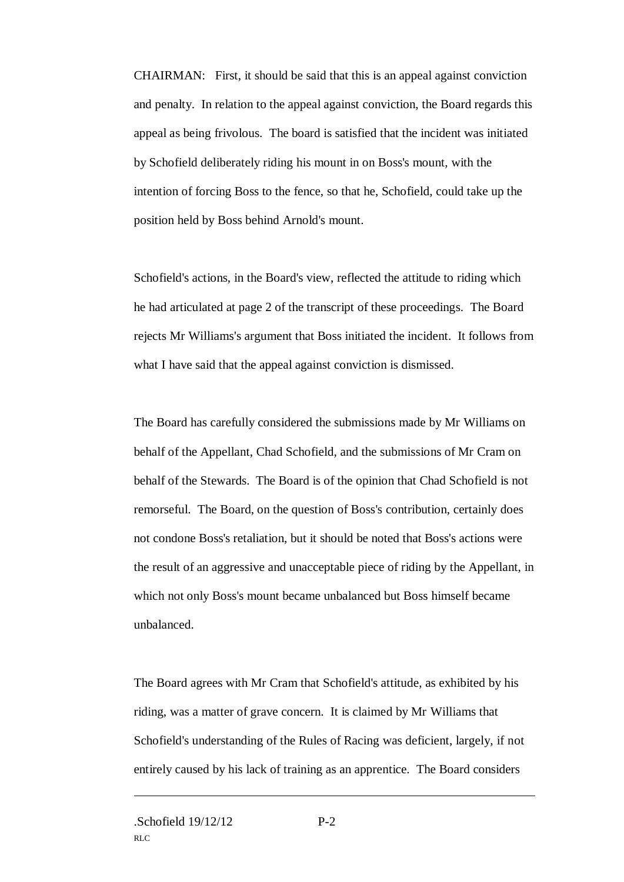CHAIRMAN: First, it should be said that this is an appeal against conviction and penalty. In relation to the appeal against conviction, the Board regards this appeal as being frivolous. The board is satisfied that the incident was initiated by Schofield deliberately riding his mount in on Boss's mount, with the intention of forcing Boss to the fence, so that he, Schofield, could take up the position held by Boss behind Arnold's mount.

Schofield's actions, in the Board's view, reflected the attitude to riding which he had articulated at page 2 of the transcript of these proceedings. The Board rejects Mr Williams's argument that Boss initiated the incident. It follows from what I have said that the appeal against conviction is dismissed.

The Board has carefully considered the submissions made by Mr Williams on behalf of the Appellant, Chad Schofield, and the submissions of Mr Cram on behalf of the Stewards. The Board is of the opinion that Chad Schofield is not remorseful. The Board, on the question of Boss's contribution, certainly does not condone Boss's retaliation, but it should be noted that Boss's actions were the result of an aggressive and unacceptable piece of riding by the Appellant, in which not only Boss's mount became unbalanced but Boss himself became unbalanced.

The Board agrees with Mr Cram that Schofield's attitude, as exhibited by his riding, was a matter of grave concern. It is claimed by Mr Williams that Schofield's understanding of the Rules of Racing was deficient, largely, if not entirely caused by his lack of training as an apprentice. The Board considers